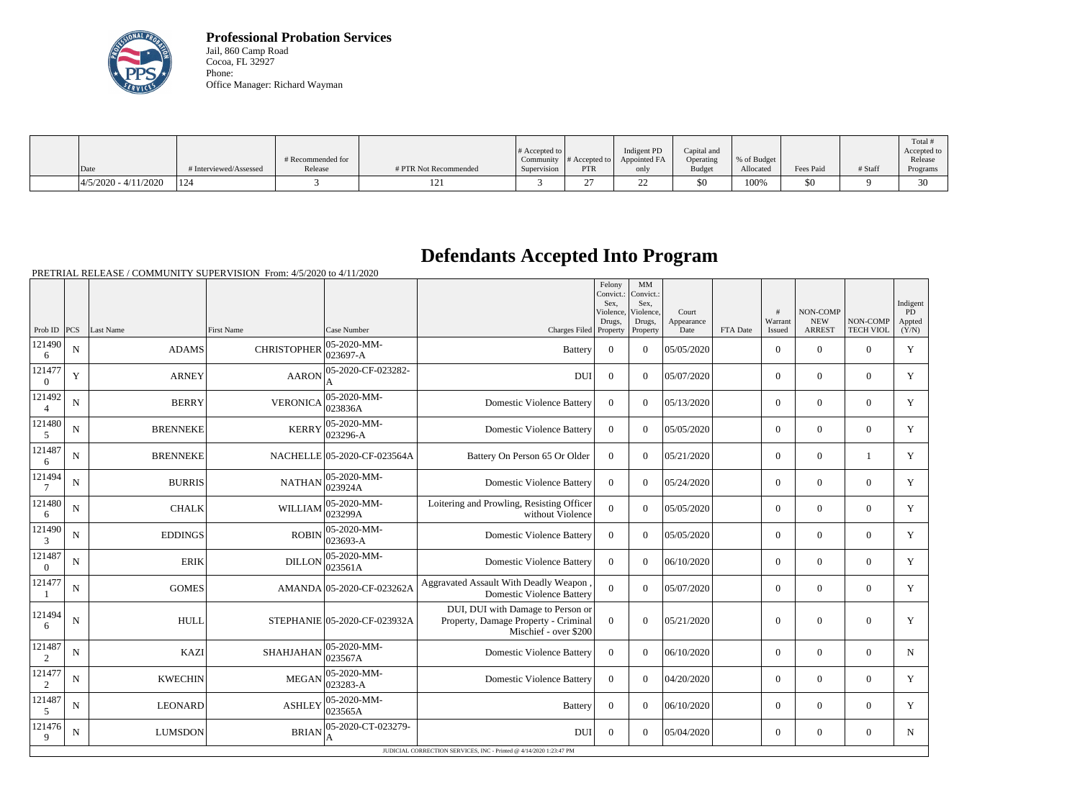

**Professional Probation Services** Jail, 860 Camp Road Cocoa, FL 32927 Phone: Office Manager: Richard Wayman

|                        |                        |                   |                       |                       |                  |              |               |             |           |         | Total #     |
|------------------------|------------------------|-------------------|-----------------------|-----------------------|------------------|--------------|---------------|-------------|-----------|---------|-------------|
|                        |                        |                   |                       | # Accepted to $\vert$ |                  | Indigent PD  | Capital and   |             |           |         | Accepted to |
|                        |                        | # Recommended for |                       | Community             | $\#$ Accepted to | Appointed FA | Operating     | % of Budget |           |         | Release     |
| Date                   | # Interviewed/Assessed | Release           | # PTR Not Recommended | Supervision           | <b>PTR</b>       | only         | <b>Budget</b> | Allocated   | Fees Paid | # Staff | Programs    |
| $4/5/2020 - 4/11/2020$ | 124                    |                   | 121                   |                       | ∼                |              | \$0           | 100%        | \$0       |         | $\bigcap$   |

## **Defendants Accepted Into Program**

PRETRIAL RELEASE / COMMUNITY SUPERVISION From: 4/5/2020 to 4/11/2020

|                          |                |                 |                    |                              |                                                                                                    | Felony<br>Convict.:<br>Sex.<br>Violence,<br>Drugs, | MM<br>Convict.:<br>Sex.<br>Violence.<br>Drugs, | Court<br>Appearance |          | #<br>Warrant   | NON-COMP<br><b>NEW</b> | NON-COMP         | Indigent<br>PD<br>Appted |
|--------------------------|----------------|-----------------|--------------------|------------------------------|----------------------------------------------------------------------------------------------------|----------------------------------------------------|------------------------------------------------|---------------------|----------|----------------|------------------------|------------------|--------------------------|
| Prob ID $ PCS $          |                | Last Name       | <b>First Name</b>  | Case Number                  | Charges Filed Property                                                                             |                                                    | Property                                       | Date                | FTA Date | Issued         | <b>ARREST</b>          | <b>TECH VIOL</b> | (Y/N)                    |
| 121490<br>6              | $\mathbf N$    | <b>ADAMS</b>    | <b>CHRISTOPHER</b> | 05-2020-MM-<br>023697-A      | <b>Battery</b>                                                                                     | $\Omega$                                           | $\theta$                                       | 05/05/2020          |          | $\overline{0}$ | $\Omega$               | $\Omega$         | Y                        |
| 121477<br>$\bf{0}$       | Y              | <b>ARNEY</b>    | <b>AARON</b>       | 05-2020-CF-023282-           | <b>DUI</b>                                                                                         | $\overline{0}$                                     | $\Omega$                                       | 05/07/2020          |          | $\overline{0}$ | $\Omega$               | $\overline{0}$   | Y                        |
| 121492<br>$\overline{4}$ | $\mathbf N$    | <b>BERRY</b>    | <b>VERONICA</b>    | 05-2020-MM-<br>023836A       | <b>Domestic Violence Battery</b>                                                                   | $\theta$                                           | $\Omega$                                       | 05/13/2020          |          | $\Omega$       | $\theta$               | $\Omega$         | Y                        |
| 121480<br>5              | N              | <b>BRENNEKE</b> | <b>KERRY</b>       | 05-2020-MM-<br>023296-A      | <b>Domestic Violence Battery</b>                                                                   | $\Omega$                                           | $\theta$                                       | 05/05/2020          |          | $\Omega$       | $\Omega$               | $\Omega$         | Y                        |
| 121487<br>6              | $\overline{N}$ | <b>BRENNEKE</b> |                    | NACHELLE 05-2020-CF-023564A  | Battery On Person 65 Or Older                                                                      | $\overline{0}$                                     | $\Omega$                                       | 05/21/2020          |          | $\overline{0}$ | $\boldsymbol{0}$       | $\overline{1}$   | Y                        |
| 121494<br>7              | $\mathbf N$    | <b>BURRIS</b>   | <b>NATHAN</b>      | 05-2020-MM-<br>023924A       | <b>Domestic Violence Battery</b>                                                                   | $\Omega$                                           | $\Omega$                                       | 05/24/2020          |          | $\Omega$       | $\theta$               | $\overline{0}$   | Y                        |
| 121480<br>6              | $\mathbf N$    | <b>CHALK</b>    | WILLIAM            | 05-2020-MM-<br>023299A       | Loitering and Prowling, Resisting Officer<br>without Violence                                      | $\Omega$                                           | $\Omega$                                       | 05/05/2020          |          | $\overline{0}$ | $\mathbf{0}$           | $\mathbf{0}$     | Y                        |
| 121490<br>3              | $\mathbf N$    | <b>EDDINGS</b>  | <b>ROBIN</b>       | 05-2020-MM-<br>023693-A      | <b>Domestic Violence Battery</b>                                                                   | $\overline{0}$                                     | $\theta$                                       | 05/05/2020          |          | $\overline{0}$ | $\mathbf{0}$           | $\overline{0}$   | $\mathbf Y$              |
| 121487<br>$\Omega$       | N              | <b>ERIK</b>     | <b>DILLON</b>      | 05-2020-MM-<br>023561A       | <b>Domestic Violence Battery</b>                                                                   | $\Omega$                                           | $\Omega$                                       | 06/10/2020          |          | $\Omega$       | $\theta$               | $\Omega$         | Y                        |
| 121477                   | N              | <b>GOMES</b>    |                    | AMANDA 05-2020-CF-023262A    | Aggravated Assault With Deadly Weapon,<br><b>Domestic Violence Battery</b>                         | $\Omega$                                           | $\theta$                                       | 05/07/2020          |          | $\Omega$       | $\Omega$               | $\Omega$         | Y                        |
| 121494<br>6              | $\mathbf N$    | <b>HULL</b>     |                    | STEPHANIE 05-2020-CF-023932A | DUI, DUI with Damage to Person or<br>Property, Damage Property - Criminal<br>Mischief - over \$200 | $\overline{0}$                                     | $\overline{0}$                                 | 05/21/2020          |          | $\mathbf{0}$   | $\mathbf{0}$           | $\mathbf{0}$     | Y                        |
| 121487<br>2              | N              | <b>KAZI</b>     | <b>SHAHJAHAN</b>   | 05-2020-MM-<br>023567A       | <b>Domestic Violence Battery</b>                                                                   | $\Omega$                                           | $\theta$                                       | 06/10/2020          |          | $\Omega$       | $\theta$               | $\Omega$         | $\mathbf N$              |
| 121477<br>2              | $\overline{N}$ | <b>KWECHIN</b>  | <b>MEGAN</b>       | 05-2020-MM-<br>023283-A      | <b>Domestic Violence Battery</b>                                                                   | $\overline{0}$                                     | $\Omega$                                       | 04/20/2020          |          | $\overline{0}$ | $\Omega$               | $\overline{0}$   | Y                        |
| 121487<br>5              | ${\bf N}$      | <b>LEONARD</b>  | <b>ASHLEY</b>      | 05-2020-MM-<br>023565A       | <b>Battery</b>                                                                                     | $\mathbf{0}$                                       | $\Omega$                                       | 06/10/2020          |          | $\overline{0}$ | $\mathbf{0}$           | $\mathbf{0}$     | Y                        |
| 121476<br>9              | $\mathbf N$    | <b>LUMSDON</b>  | <b>BRIAN</b>       | 05-2020-CT-023279-<br>A      | <b>DUI</b>                                                                                         | $\Omega$                                           | $\Omega$                                       | 05/04/2020          |          | $\overline{0}$ | $\overline{0}$         | $\overline{0}$   | N                        |
|                          |                |                 |                    |                              | JUDICIAL CORRECTION SERVICES, INC - Printed @ 4/14/2020 1:23:47 PM                                 |                                                    |                                                |                     |          |                |                        |                  |                          |